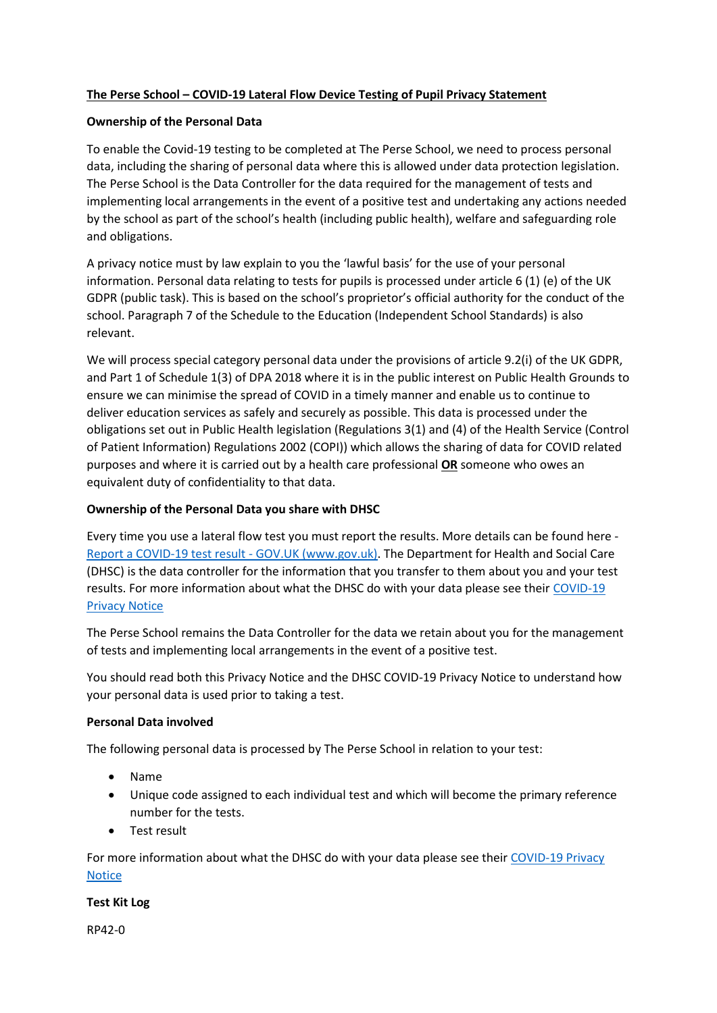# **The Perse School – COVID-19 Lateral Flow Device Testing of Pupil Privacy Statement**

# **Ownership of the Personal Data**

To enable the Covid-19 testing to be completed at The Perse School, we need to process personal data, including the sharing of personal data where this is allowed under data protection legislation. The Perse School is the Data Controller for the data required for the management of tests and implementing local arrangements in the event of a positive test and undertaking any actions needed by the school as part of the school's health (including public health), welfare and safeguarding role and obligations.

A privacy notice must by law explain to you the 'lawful basis' for the use of your personal information. Personal data relating to tests for pupils is processed under article 6 (1) (e) of the UK GDPR (public task). This is based on the school's proprietor's official authority for the conduct of the school. Paragraph 7 of the Schedule to the Education (Independent School Standards) is also relevant.

We will process special category personal data under the provisions of article 9.2(i) of the UK GDPR, and Part 1 of Schedule 1(3) of DPA 2018 where it is in the public interest on Public Health Grounds to ensure we can minimise the spread of COVID in a timely manner and enable us to continue to deliver education services as safely and securely as possible. This data is processed under the obligations set out in Public Health legislation (Regulations 3(1) and (4) of the Health Service (Control of Patient Information) Regulations 2002 (COPI)) which allows the sharing of data for COVID related purposes and where it is carried out by a health care professional **OR** someone who owes an equivalent duty of confidentiality to that data.

# **Ownership of the Personal Data you share with DHSC**

Every time you use a lateral flow test you must report the results. More details can be found here - [Report a COVID-19 test result -](https://www.gov.uk/report-covid19-result) GOV.UK (www.gov.uk). The Department for Health and Social Care (DHSC) is the data controller for the information that you transfer to them about you and your test results. For more information about what the DHSC do with your data please see their [COVID-19](https://www.gov.uk/government/publications/coronavirus-covid-19-testing-privacy-information)  [Privacy Notice](https://www.gov.uk/government/publications/coronavirus-covid-19-testing-privacy-information)

The Perse School remains the Data Controller for the data we retain about you for the management of tests and implementing local arrangements in the event of a positive test.

You should read both this Privacy Notice and the DHSC COVID-19 Privacy Notice to understand how your personal data is used prior to taking a test.

### **Personal Data involved**

The following personal data is processed by The Perse School in relation to your test:

- Name
- Unique code assigned to each individual test and which will become the primary reference number for the tests.
- Test result

For more information about what the DHSC do with your data please see their [COVID-19 Privacy](https://www.gov.uk/government/publications/coronavirus-covid-19-testing-privacy-information)  [Notice](https://www.gov.uk/government/publications/coronavirus-covid-19-testing-privacy-information)

### **Test Kit Log**

RP42-0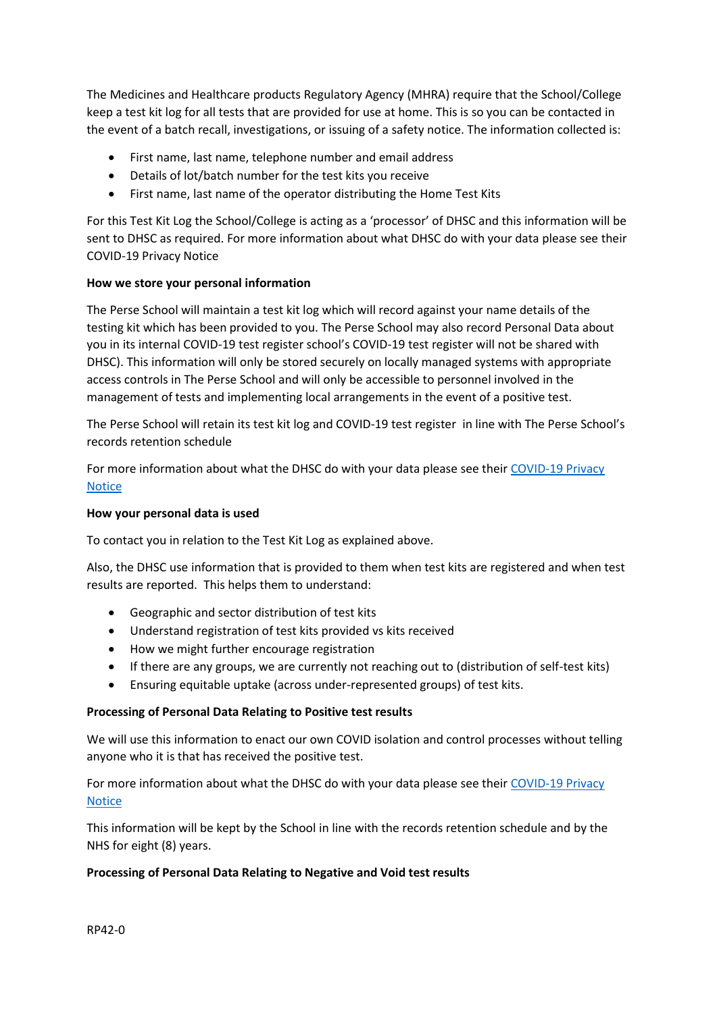The Medicines and Healthcare products Regulatory Agency (MHRA) require that the School/College keep a test kit log for all tests that are provided for use at home. This is so you can be contacted in the event of a batch recall, investigations, or issuing of a safety notice. The information collected is:

- First name, last name, telephone number and email address
- Details of lot/batch number for the test kits you receive
- First name, last name of the operator distributing the Home Test Kits

For this Test Kit Log the School/College is acting as a 'processor' of DHSC and this information will be sent to DHSC as required. For more information about what DHSC do with your data please see their COVID-19 Privacy Notice

## **How we store your personal information**

The Perse School will maintain a test kit log which will record against your name details of the testing kit which has been provided to you. The Perse School may also record Personal Data about you in its internal COVID-19 test register school's COVID-19 test register will not be shared with DHSC). This information will only be stored securely on locally managed systems with appropriate access controls in The Perse School and will only be accessible to personnel involved in the management of tests and implementing local arrangements in the event of a positive test.

The Perse School will retain its test kit log and COVID-19 test register in line with The Perse School's records retention schedule

For more information about what the DHSC do with your data please see their [COVID-19 Privacy](https://www.gov.uk/government/publications/coronavirus-covid-19-testing-privacy-information)  [Notice](https://www.gov.uk/government/publications/coronavirus-covid-19-testing-privacy-information)

## **How your personal data is used**

To contact you in relation to the Test Kit Log as explained above.

Also, the DHSC use information that is provided to them when test kits are registered and when test results are reported. This helps them to understand:

- Geographic and sector distribution of test kits
- Understand registration of test kits provided vs kits received
- How we might further encourage registration
- If there are any groups, we are currently not reaching out to (distribution of self-test kits)
- Ensuring equitable uptake (across under-represented groups) of test kits.

### **Processing of Personal Data Relating to Positive test results**

We will use this information to enact our own COVID isolation and control processes without telling anyone who it is that has received the positive test.

For more information about what the DHSC do with your data please see their COVID-19 Privacy [Notice](https://www.gov.uk/government/publications/coronavirus-covid-19-testing-privacy-information)

This information will be kept by the School in line with the records retention schedule and by the NHS for eight (8) years.

### **Processing of Personal Data Relating to Negative and Void test results**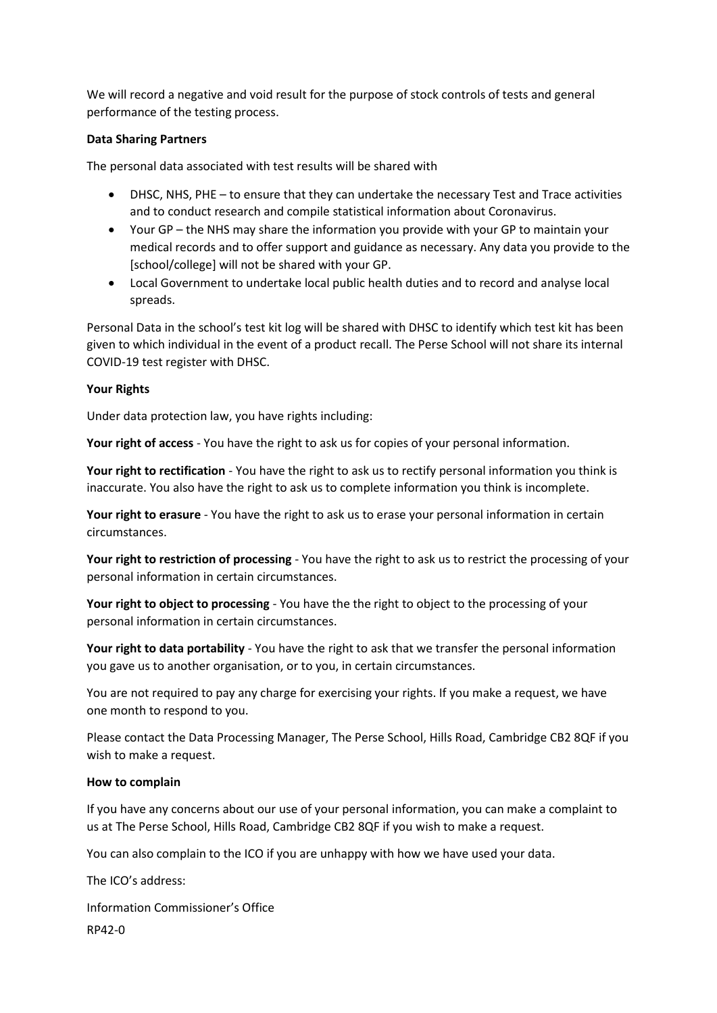We will record a negative and void result for the purpose of stock controls of tests and general performance of the testing process.

## **Data Sharing Partners**

The personal data associated with test results will be shared with

- DHSC, NHS, PHE to ensure that they can undertake the necessary Test and Trace activities and to conduct research and compile statistical information about Coronavirus.
- Your GP the NHS may share the information you provide with your GP to maintain your medical records and to offer support and guidance as necessary. Any data you provide to the [school/college] will not be shared with your GP.
- Local Government to undertake local public health duties and to record and analyse local spreads.

Personal Data in the school's test kit log will be shared with DHSC to identify which test kit has been given to which individual in the event of a product recall. The Perse School will not share its internal COVID-19 test register with DHSC.

## **Your Rights**

Under data protection law, you have rights including:

**Your right of access** - You have the right to ask us for copies of your personal information.

**Your right to rectification** - You have the right to ask us to rectify personal information you think is inaccurate. You also have the right to ask us to complete information you think is incomplete.

**Your right to erasure** - You have the right to ask us to erase your personal information in certain circumstances.

**Your right to restriction of processing** - You have the right to ask us to restrict the processing of your personal information in certain circumstances.

**Your right to object to processing** - You have the the right to object to the processing of your personal information in certain circumstances.

**Your right to data portability** - You have the right to ask that we transfer the personal information you gave us to another organisation, or to you, in certain circumstances.

You are not required to pay any charge for exercising your rights. If you make a request, we have one month to respond to you.

Please contact the Data Processing Manager, The Perse School, Hills Road, Cambridge CB2 8QF if you wish to make a request.

### **How to complain**

If you have any concerns about our use of your personal information, you can make a complaint to us at The Perse School, Hills Road, Cambridge CB2 8QF if you wish to make a request.

You can also complain to the ICO if you are unhappy with how we have used your data.

RP42-0 The ICO's address: Information Commissioner's Office